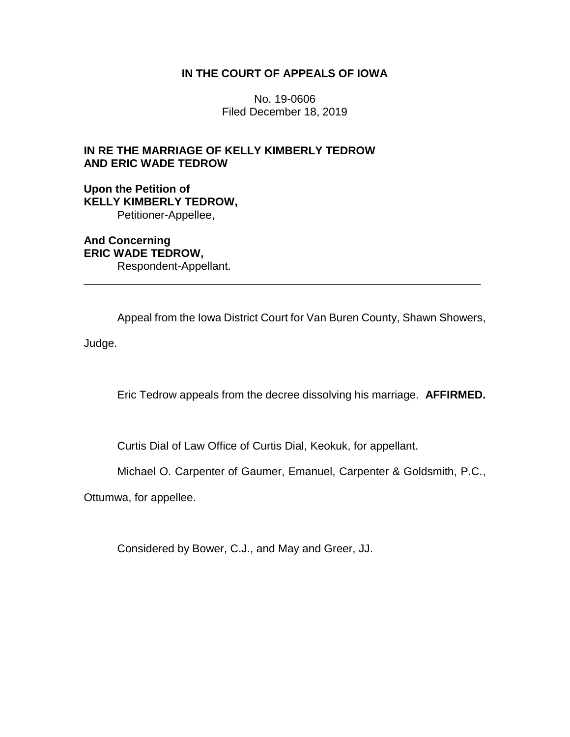## **IN THE COURT OF APPEALS OF IOWA**

No. 19-0606 Filed December 18, 2019

## **IN RE THE MARRIAGE OF KELLY KIMBERLY TEDROW AND ERIC WADE TEDROW**

**Upon the Petition of KELLY KIMBERLY TEDROW,** Petitioner-Appellee,

**And Concerning ERIC WADE TEDROW,** Respondent-Appellant.

Appeal from the Iowa District Court for Van Buren County, Shawn Showers,

\_\_\_\_\_\_\_\_\_\_\_\_\_\_\_\_\_\_\_\_\_\_\_\_\_\_\_\_\_\_\_\_\_\_\_\_\_\_\_\_\_\_\_\_\_\_\_\_\_\_\_\_\_\_\_\_\_\_\_\_\_\_\_\_

Judge.

Eric Tedrow appeals from the decree dissolving his marriage. **AFFIRMED.**

Curtis Dial of Law Office of Curtis Dial, Keokuk, for appellant.

Michael O. Carpenter of Gaumer, Emanuel, Carpenter & Goldsmith, P.C.,

Ottumwa, for appellee.

Considered by Bower, C.J., and May and Greer, JJ.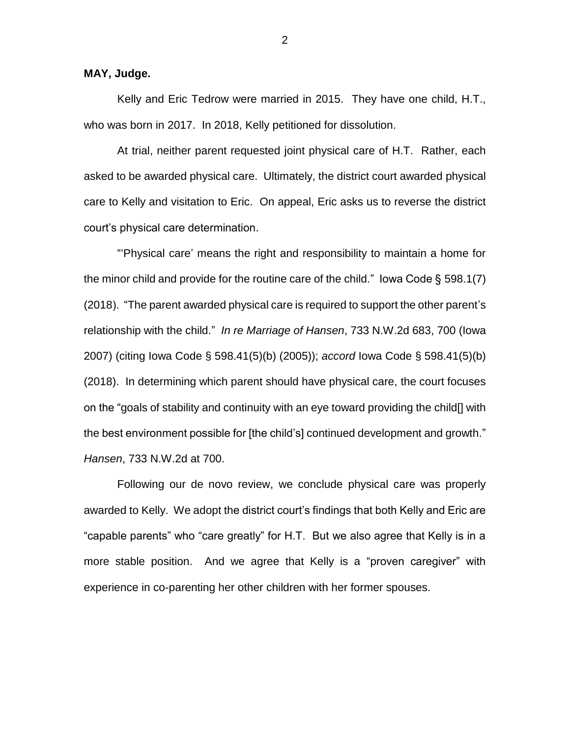## **MAY, Judge.**

Kelly and Eric Tedrow were married in 2015. They have one child, H.T., who was born in 2017. In 2018, Kelly petitioned for dissolution.

At trial, neither parent requested joint physical care of H.T. Rather, each asked to be awarded physical care. Ultimately, the district court awarded physical care to Kelly and visitation to Eric. On appeal, Eric asks us to reverse the district court's physical care determination.

"'Physical care' means the right and responsibility to maintain a home for the minor child and provide for the routine care of the child." Iowa Code  $\S$  598.1(7) (2018). "The parent awarded physical care is required to support the other parent's relationship with the child." *In re Marriage of Hansen*, 733 N.W.2d 683, 700 (Iowa 2007) (citing Iowa Code § 598.41(5)(b) (2005)); *accord* Iowa Code § 598.41(5)(b) (2018). In determining which parent should have physical care, the court focuses on the "goals of stability and continuity with an eye toward providing the child[] with the best environment possible for [the child's] continued development and growth." *Hansen*, 733 N.W.2d at 700.

Following our de novo review, we conclude physical care was properly awarded to Kelly. We adopt the district court's findings that both Kelly and Eric are "capable parents" who "care greatly" for H.T. But we also agree that Kelly is in a more stable position. And we agree that Kelly is a "proven caregiver" with experience in co-parenting her other children with her former spouses.

2